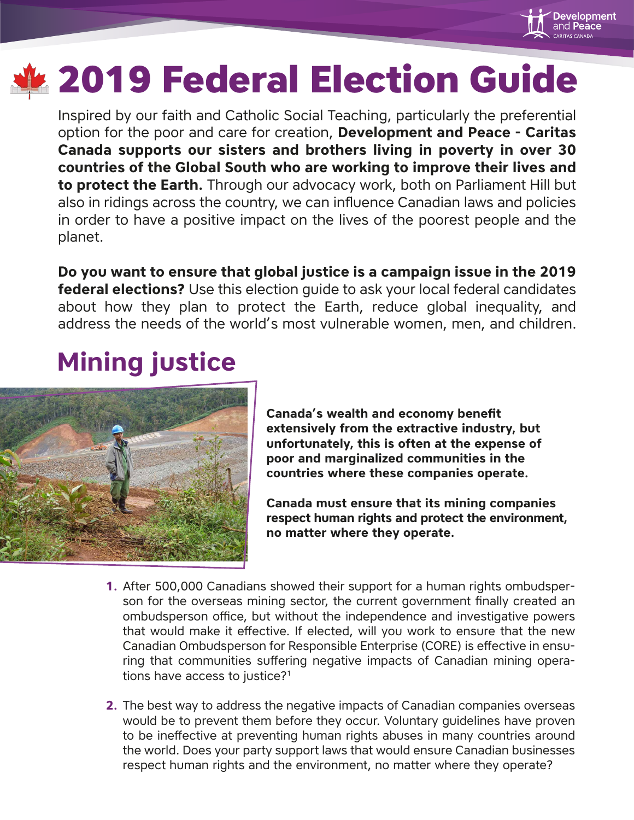

# **2019 Federal Election Guide**

Inspired by our faith and Catholic Social Teaching, particularly the preferential option for the poor and care for creation, **Development and Peace - Caritas Canada supports our sisters and brothers living in poverty in over 30 countries of the Global South who are working to improve their lives and to protect the Earth.** Through our advocacy work, both on Parliament Hill but also in ridings across the country, we can influence Canadian laws and policies in order to have a positive impact on the lives of the poorest people and the planet.

**Do you want to ensure that global justice is a campaign issue in the 2019 federal elections?** Use this election guide to ask your local federal candidates about how they plan to protect the Earth, reduce global inequality, and address the needs of the world's most vulnerable women, men, and children.

## **Mining justice**



**Canada's wealth and economy benefit extensively from the extractive industry, but unfortunately, this is often at the expense of poor and marginalized communities in the countries where these companies operate.** 

**Canada must ensure that its mining companies respect human rights and protect the environment, no matter where they operate.**

- **1.** After 500,000 Canadians showed their support for a human rights ombudsperson for the overseas mining sector, the current government finally created an ombudsperson office, but without the independence and investigative powers that would make it effective. If elected, will you work to ensure that the new Canadian Ombudsperson for Responsible Enterprise (CORE) is effective in ensuring that communities suffering negative impacts of Canadian mining operations have access to justice?<sup>1</sup>
- **2.** The best way to address the negative impacts of Canadian companies overseas would be to prevent them before they occur. Voluntary guidelines have proven to be ineffective at preventing human rights abuses in many countries around the world. Does your party support laws that would ensure Canadian businesses respect human rights and the environment, no matter where they operate?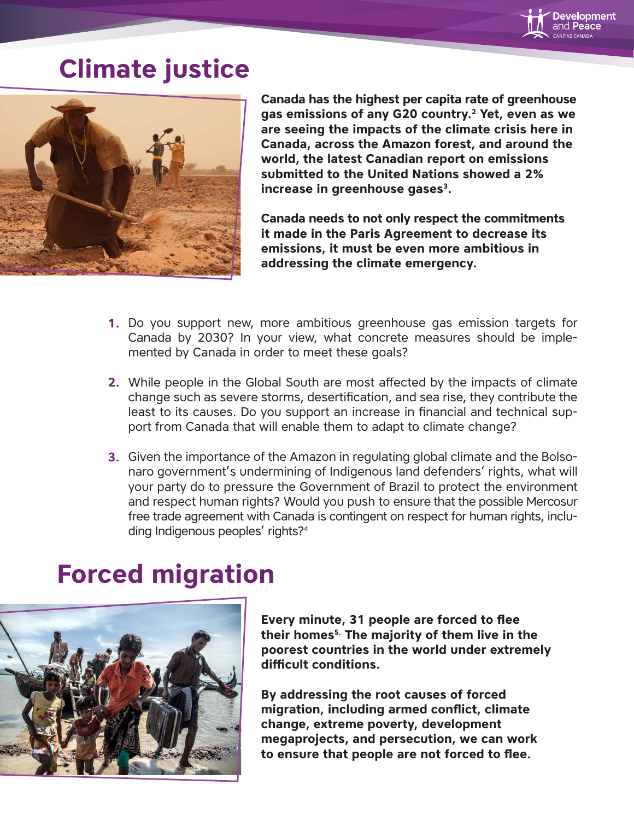

### **Climate justice**



**Canada has the highest per capita rate of greenhouse gas emissions of any G20 country.2 Yet, even as we are seeing the impacts of the climate crisis here in Canada, across the Amazon forest, and around the world, the latest Canadian report on emissions submitted to the United Nations showed a 2% increase in greenhouse gases3.** 

**Canada needs to not only respect the commitments it made in the Paris Agreement to decrease its emissions, it must be even more ambitious in addressing the climate emergency.** 

- Do you support new, more ambitious greenhouse gas emission targets for **1.** Canada by 2030? In your view, what concrete measures should be implemented by Canada in order to meet these goals?
- **2.** While people in the Global South are most affected by the impacts of climate change such as severe storms, desertification, and sea rise, they contribute the least to its causes. Do you support an increase in financial and technical support from Canada that will enable them to adapt to climate change?
- **3.** Given the importance of the Amazon in regulating global climate and the Bolsonaro government's undermining of Indigenous land defenders' rights, what will your party do to pressure the Government of Brazil to protect the environment and respect human rights? Would you push to ensure that the possible Mercosur free trade agreement with Canada is contingent on respect for human rights, including Indigenous peoples' rights?<sup>4</sup>

#### **Forced migration**



**Every minute, 31 people are forced to flee their homes5. The majority of them live in the poorest countries in the world under extremely**  difficult conditions.

**By addressing the root causes of forced migration, including armed conflict, climate change, extreme poverty, development megaprojects, and persecution, we can work**  to ensure that people are not forced to flee.